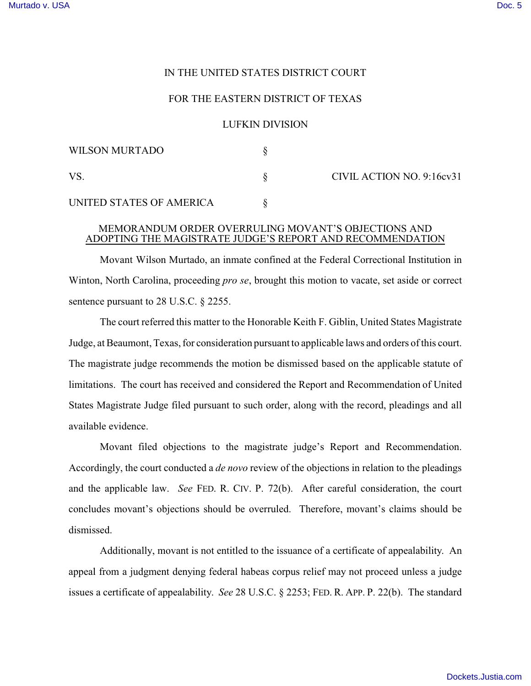## IN THE UNITED STATES DISTRICT COURT

## FOR THE EASTERN DISTRICT OF TEXAS

## LUFKIN DIVISION

| WILSON MURTADO           |  | CIVIL ACTION NO. 9:16cv31 |
|--------------------------|--|---------------------------|
| VS                       |  |                           |
| UNITED STATES OF AMERICA |  |                           |

## MEMORANDUM ORDER OVERRULING MOVANT'S OBJECTIONS AND ADOPTING THE MAGISTRATE JUDGE'S REPORT AND RECOMMENDATION

Movant Wilson Murtado, an inmate confined at the Federal Correctional Institution in Winton, North Carolina, proceeding *pro se*, brought this motion to vacate, set aside or correct sentence pursuant to 28 U.S.C. § 2255.

The court referred this matter to the Honorable Keith F. Giblin, United States Magistrate Judge, at Beaumont, Texas, for consideration pursuant to applicable laws and orders of this court. The magistrate judge recommends the motion be dismissed based on the applicable statute of limitations. The court has received and considered the Report and Recommendation of United States Magistrate Judge filed pursuant to such order, along with the record, pleadings and all available evidence.

Movant filed objections to the magistrate judge's Report and Recommendation. Accordingly, the court conducted a *de novo* review of the objections in relation to the pleadings and the applicable law. *See* FED. R. CIV. P. 72(b). After careful consideration, the court concludes movant's objections should be overruled. Therefore, movant's claims should be dismissed.

Additionally, movant is not entitled to the issuance of a certificate of appealability. An appeal from a judgment denying federal habeas corpus relief may not proceed unless a judge issues a certificate of appealability. *See* 28 U.S.C. § 2253; FED. R. APP. P. 22(b). The standard